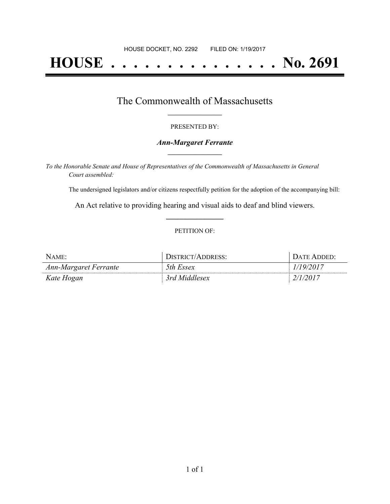# **HOUSE . . . . . . . . . . . . . . . No. 2691**

## The Commonwealth of Massachusetts **\_\_\_\_\_\_\_\_\_\_\_\_\_\_\_\_\_**

#### PRESENTED BY:

#### *Ann-Margaret Ferrante* **\_\_\_\_\_\_\_\_\_\_\_\_\_\_\_\_\_**

*To the Honorable Senate and House of Representatives of the Commonwealth of Massachusetts in General Court assembled:*

The undersigned legislators and/or citizens respectfully petition for the adoption of the accompanying bill:

An Act relative to providing hearing and visual aids to deaf and blind viewers. **\_\_\_\_\_\_\_\_\_\_\_\_\_\_\_**

#### PETITION OF:

| $N$ AME:              | DISTRICT/ADDRESS: | DATE ADDED:     |
|-----------------------|-------------------|-----------------|
| Ann-Margaret Ferrante | 5th Essex         | 1/19/2017       |
| Kate Hogan            | 3rd Middlesex     | <i>2/1/2017</i> |